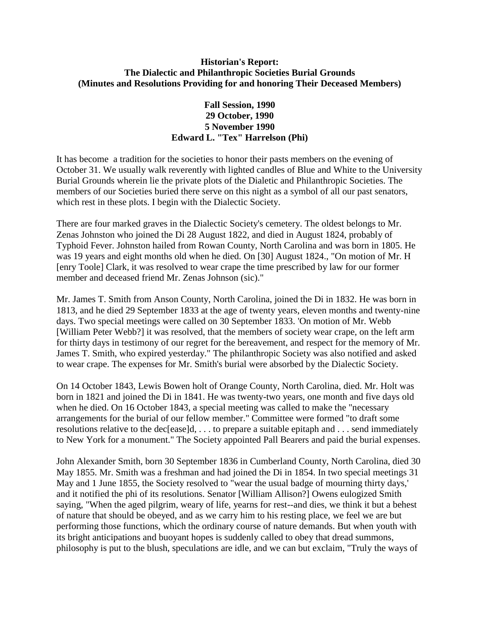## **Historian's Report: The Dialectic and Philanthropic Societies Burial Grounds (Minutes and Resolutions Providing for and honoring Their Deceased Members)**

# **Fall Session, 1990 29 October, 1990 5 November 1990 Edward L. "Tex" Harrelson (Phi)**

It has become a tradition for the societies to honor their pasts members on the evening of October 31. We usually walk reverently with lighted candles of Blue and White to the University Burial Grounds wherein lie the private plots of the Dialetic and Philanthropic Societies. The members of our Societies buried there serve on this night as a symbol of all our past senators, which rest in these plots. I begin with the Dialectic Society.

There are four marked graves in the Dialectic Society's cemetery. The oldest belongs to Mr. Zenas Johnston who joined the Di 28 August 1822, and died in August 1824, probably of Typhoid Fever. Johnston hailed from Rowan County, North Carolina and was born in 1805. He was 19 years and eight months old when he died. On [30] August 1824., "On motion of Mr. H [enry Toole] Clark, it was resolved to wear crape the time prescribed by law for our former member and deceased friend Mr. Zenas Johnson (sic)."

Mr. James T. Smith from Anson County, North Carolina, joined the Di in 1832. He was born in 1813, and he died 29 September 1833 at the age of twenty years, eleven months and twenty-nine days. Two special meetings were called on 30 September 1833. 'On motion of Mr. Webb [William Peter Webb?] it was resolved, that the members of society wear crape, on the left arm for thirty days in testimony of our regret for the bereavement, and respect for the memory of Mr. James T. Smith, who expired yesterday." The philanthropic Society was also notified and asked to wear crape. The expenses for Mr. Smith's burial were absorbed by the Dialectic Society.

On 14 October 1843, Lewis Bowen holt of Orange County, North Carolina, died. Mr. Holt was born in 1821 and joined the Di in 1841. He was twenty-two years, one month and five days old when he died. On 16 October 1843, a special meeting was called to make the "necessary arrangements for the burial of our fellow member." Committee were formed "to draft some resolutions relative to the dec[ease]d, . . . to prepare a suitable epitaph and . . . send immediately to New York for a monument." The Society appointed Pall Bearers and paid the burial expenses.

John Alexander Smith, born 30 September 1836 in Cumberland County, North Carolina, died 30 May 1855. Mr. Smith was a freshman and had joined the Di in 1854. In two special meetings 31 May and 1 June 1855, the Society resolved to "wear the usual badge of mourning thirty days,' and it notified the phi of its resolutions. Senator [William Allison?] Owens eulogized Smith saying, "When the aged pilgrim, weary of life, yearns for rest--and dies, we think it but a behest of nature that should be obeyed, and as we carry him to his resting place, we feel we are but performing those functions, which the ordinary course of nature demands. But when youth with its bright anticipations and buoyant hopes is suddenly called to obey that dread summons, philosophy is put to the blush, speculations are idle, and we can but exclaim, "Truly the ways of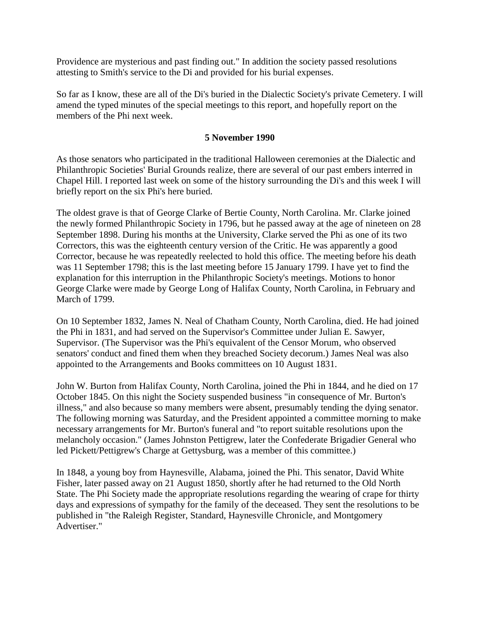Providence are mysterious and past finding out." In addition the society passed resolutions attesting to Smith's service to the Di and provided for his burial expenses.

So far as I know, these are all of the Di's buried in the Dialectic Society's private Cemetery. I will amend the typed minutes of the special meetings to this report, and hopefully report on the members of the Phi next week.

### **5 November 1990**

As those senators who participated in the traditional Halloween ceremonies at the Dialectic and Philanthropic Societies' Burial Grounds realize, there are several of our past embers interred in Chapel Hill. I reported last week on some of the history surrounding the Di's and this week I will briefly report on the six Phi's here buried.

The oldest grave is that of George Clarke of Bertie County, North Carolina. Mr. Clarke joined the newly formed Philanthropic Society in 1796, but he passed away at the age of nineteen on 28 September 1898. During his months at the University, Clarke served the Phi as one of its two Correctors, this was the eighteenth century version of the Critic. He was apparently a good Corrector, because he was repeatedly reelected to hold this office. The meeting before his death was 11 September 1798; this is the last meeting before 15 January 1799. I have yet to find the explanation for this interruption in the Philanthropic Society's meetings. Motions to honor George Clarke were made by George Long of Halifax County, North Carolina, in February and March of 1799.

On 10 September 1832, James N. Neal of Chatham County, North Carolina, died. He had joined the Phi in 1831, and had served on the Supervisor's Committee under Julian E. Sawyer, Supervisor. (The Supervisor was the Phi's equivalent of the Censor Morum, who observed senators' conduct and fined them when they breached Society decorum.) James Neal was also appointed to the Arrangements and Books committees on 10 August 1831.

John W. Burton from Halifax County, North Carolina, joined the Phi in 1844, and he died on 17 October 1845. On this night the Society suspended business "in consequence of Mr. Burton's illness," and also because so many members were absent, presumably tending the dying senator. The following morning was Saturday, and the President appointed a committee morning to make necessary arrangements for Mr. Burton's funeral and "to report suitable resolutions upon the melancholy occasion." (James Johnston Pettigrew, later the Confederate Brigadier General who led Pickett/Pettigrew's Charge at Gettysburg, was a member of this committee.)

In 1848, a young boy from Haynesville, Alabama, joined the Phi. This senator, David White Fisher, later passed away on 21 August 1850, shortly after he had returned to the Old North State. The Phi Society made the appropriate resolutions regarding the wearing of crape for thirty days and expressions of sympathy for the family of the deceased. They sent the resolutions to be published in "the Raleigh Register, Standard, Haynesville Chronicle, and Montgomery Advertiser."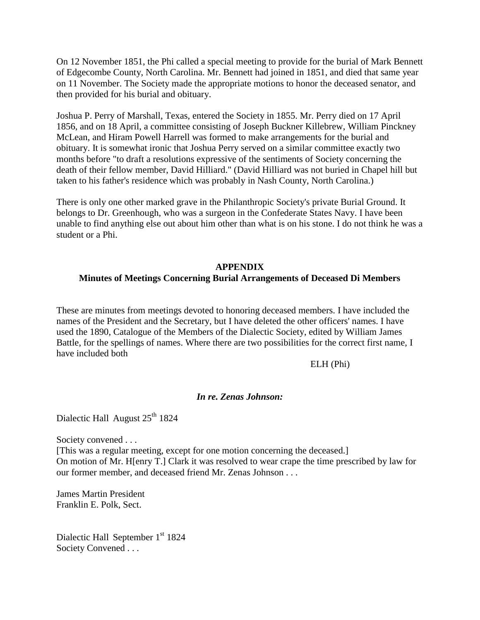On 12 November 1851, the Phi called a special meeting to provide for the burial of Mark Bennett of Edgecombe County, North Carolina. Mr. Bennett had joined in 1851, and died that same year on 11 November. The Society made the appropriate motions to honor the deceased senator, and then provided for his burial and obituary.

Joshua P. Perry of Marshall, Texas, entered the Society in 1855. Mr. Perry died on 17 April 1856, and on 18 April, a committee consisting of Joseph Buckner Killebrew, William Pinckney McLean, and Hiram Powell Harrell was formed to make arrangements for the burial and obituary. It is somewhat ironic that Joshua Perry served on a similar committee exactly two months before "to draft a resolutions expressive of the sentiments of Society concerning the death of their fellow member, David Hilliard." (David Hilliard was not buried in Chapel hill but taken to his father's residence which was probably in Nash County, North Carolina.)

There is only one other marked grave in the Philanthropic Society's private Burial Ground. It belongs to Dr. Greenhough, who was a surgeon in the Confederate States Navy. I have been unable to find anything else out about him other than what is on his stone. I do not think he was a student or a Phi.

### **APPENDIX**

# **Minutes of Meetings Concerning Burial Arrangements of Deceased Di Members**

These are minutes from meetings devoted to honoring deceased members. I have included the names of the President and the Secretary, but I have deleted the other officers' names. I have used the 1890, Catalogue of the Members of the Dialectic Society, edited by William James Battle, for the spellings of names. Where there are two possibilities for the correct first name, I have included both

ELH (Phi)

# *In re. Zenas Johnson:*

Dialectic Hall August 25<sup>th</sup> 1824

Society convened . . .

[This was a regular meeting, except for one motion concerning the deceased.] On motion of Mr. H[enry T.] Clark it was resolved to wear crape the time prescribed by law for our former member, and deceased friend Mr. Zenas Johnson . . .

James Martin President Franklin E. Polk, Sect.

Dialectic Hall September 1<sup>st</sup> 1824 Society Convened . . .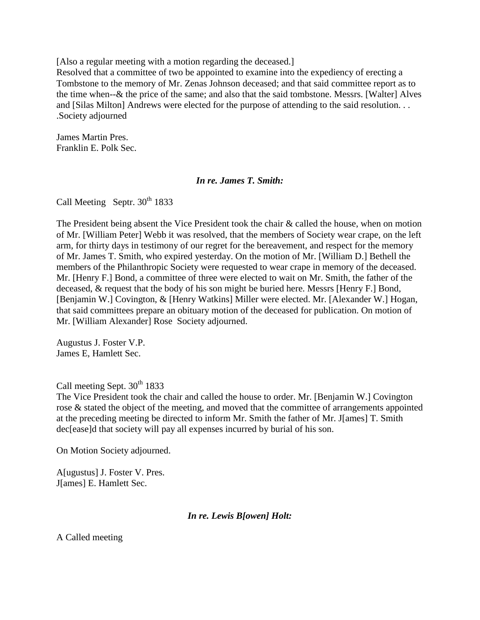[Also a regular meeting with a motion regarding the deceased.]

Resolved that a committee of two be appointed to examine into the expediency of erecting a Tombstone to the memory of Mr. Zenas Johnson deceased; and that said committee report as to the time when--& the price of the same; and also that the said tombstone. Messrs. [Walter] Alves and [Silas Milton] Andrews were elected for the purpose of attending to the said resolution. . . .Society adjourned

James Martin Pres. Franklin E. Polk Sec.

### *In re. James T. Smith:*

Call Meeting Septr.  $30<sup>th</sup> 1833$ 

The President being absent the Vice President took the chair & called the house, when on motion of Mr. [William Peter] Webb it was resolved, that the members of Society wear crape, on the left arm, for thirty days in testimony of our regret for the bereavement, and respect for the memory of Mr. James T. Smith, who expired yesterday. On the motion of Mr. [William D.] Bethell the members of the Philanthropic Society were requested to wear crape in memory of the deceased. Mr. [Henry F.] Bond, a committee of three were elected to wait on Mr. Smith, the father of the deceased, & request that the body of his son might be buried here. Messrs [Henry F.] Bond, [Benjamin W.] Covington, & [Henry Watkins] Miller were elected. Mr. [Alexander W.] Hogan, that said committees prepare an obituary motion of the deceased for publication. On motion of Mr. [William Alexander] Rose Society adjourned.

Augustus J. Foster V.P. James E, Hamlett Sec.

Call meeting Sept.  $30<sup>th</sup> 1833$ 

The Vice President took the chair and called the house to order. Mr. [Benjamin W.] Covington rose & stated the object of the meeting, and moved that the committee of arrangements appointed at the preceding meeting be directed to inform Mr. Smith the father of Mr. J[ames] T. Smith dec[ease]d that society will pay all expenses incurred by burial of his son.

On Motion Society adjourned.

A[ugustus] J. Foster V. Pres. J[ames] E. Hamlett Sec.

### *In re. Lewis B[owen] Holt:*

A Called meeting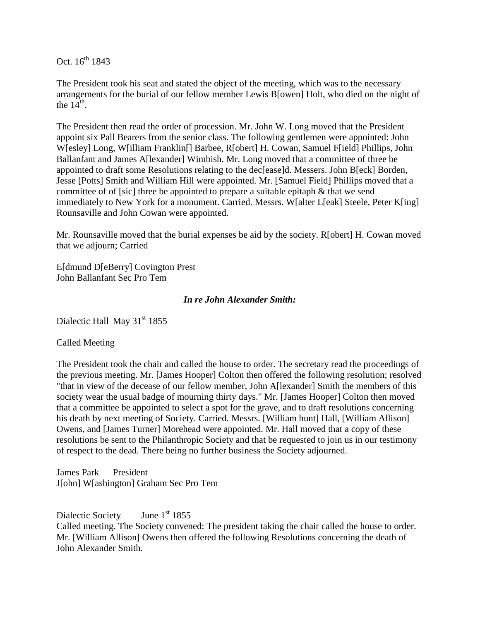Oct.  $16^{th}$  1843

The President took his seat and stated the object of the meeting, which was to the necessary arrangements for the burial of our fellow member Lewis B[owen] Holt, who died on the night of the  $14^{\text{th}}$ .

The President then read the order of procession. Mr. John W. Long moved that the President appoint six Pall Bearers from the senior class. The following gentlemen were appointed: John W[esley] Long, W[illiam Franklin[] Barbee, R[obert] H. Cowan, Samuel F[ield] Phillips, John Ballanfant and James A[lexander] Wimbish. Mr. Long moved that a committee of three be appointed to draft some Resolutions relating to the dec[ease]d. Messers. John B[eck] Borden, Jesse [Potts] Smith and William Hill were appointed. Mr. [Samuel Field] Phillips moved that a committee of of [sic] three be appointed to prepare a suitable epitaph & that we send immediately to New York for a monument. Carried. Messrs. W[alter L[eak] Steele, Peter K[ing] Rounsaville and John Cowan were appointed.

Mr. Rounsaville moved that the burial expenses be aid by the society. R[obert] H. Cowan moved that we adjourn; Carried

E[dmund D[eBerry] Covington Prest John Ballanfant Sec Pro Tem

#### *In re John Alexander Smith:*

Dialectic Hall May 31<sup>st</sup> 1855

### Called Meeting

The President took the chair and called the house to order. The secretary read the proceedings of the previous meeting. Mr. [James Hooper] Colton then offered the following resolution; resolved "that in view of the decease of our fellow member, John A[lexander] Smith the members of this society wear the usual badge of mourning thirty days." Mr. [James Hooper] Colton then moved that a committee be appointed to select a spot for the grave, and to draft resolutions concerning his death by next meeting of Society. Carried. Messrs. [William hunt] Hall, [William Allison] Owens, and [James Turner] Morehead were appointed. Mr. Hall moved that a copy of these resolutions be sent to the Philanthropic Society and that be requested to join us in our testimony of respect to the dead. There being no further business the Society adjourned.

James Park President J[ohn] W[ashington] Graham Sec Pro Tem

Dialectic Society June  $1<sup>st</sup> 1855$ 

Called meeting. The Society convened: The president taking the chair called the house to order. Mr. [William Allison] Owens then offered the following Resolutions concerning the death of John Alexander Smith.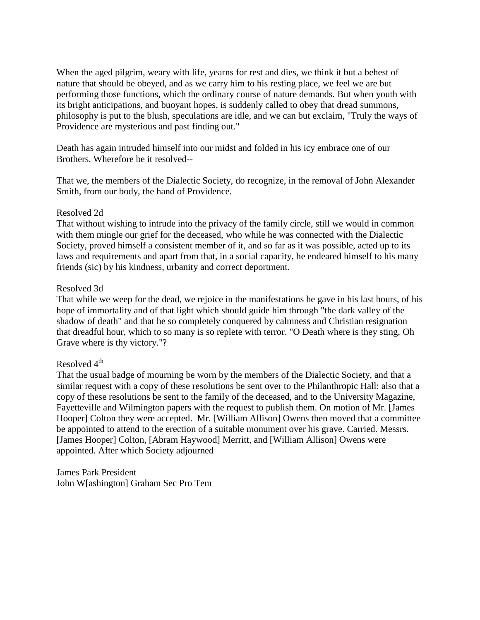When the aged pilgrim, weary with life, yearns for rest and dies, we think it but a behest of nature that should be obeyed, and as we carry him to his resting place, we feel we are but performing those functions, which the ordinary course of nature demands. But when youth with its bright anticipations, and buoyant hopes, is suddenly called to obey that dread summons, philosophy is put to the blush, speculations are idle, and we can but exclaim, "Truly the ways of Providence are mysterious and past finding out."

Death has again intruded himself into our midst and folded in his icy embrace one of our Brothers. Wherefore be it resolved--

That we, the members of the Dialectic Society, do recognize, in the removal of John Alexander Smith, from our body, the hand of Providence.

#### Resolved 2d

That without wishing to intrude into the privacy of the family circle, still we would in common with them mingle our grief for the deceased, who while he was connected with the Dialectic Society, proved himself a consistent member of it, and so far as it was possible, acted up to its laws and requirements and apart from that, in a social capacity, he endeared himself to his many friends (sic) by his kindness, urbanity and correct deportment.

#### Resolved 3d

That while we weep for the dead, we rejoice in the manifestations he gave in his last hours, of his hope of immortality and of that light which should guide him through "the dark valley of the shadow of death" and that he so completely conquered by calmness and Christian resignation that dreadful hour, which to so many is so replete with terror. "O Death where is they sting, Oh Grave where is thy victory."?

# Resolved 4<sup>th</sup>

That the usual badge of mourning be worn by the members of the Dialectic Society, and that a similar request with a copy of these resolutions be sent over to the Philanthropic Hall: also that a copy of these resolutions be sent to the family of the deceased, and to the University Magazine, Fayetteville and Wilmington papers with the request to publish them. On motion of Mr. [James Hooper] Colton they were accepted. Mr. [William Allison] Owens then moved that a committee be appointed to attend to the erection of a suitable monument over his grave. Carried. Messrs. [James Hooper] Colton, [Abram Haywood] Merritt, and [William Allison] Owens were appointed. After which Society adjourned

James Park President John W[ashington] Graham Sec Pro Tem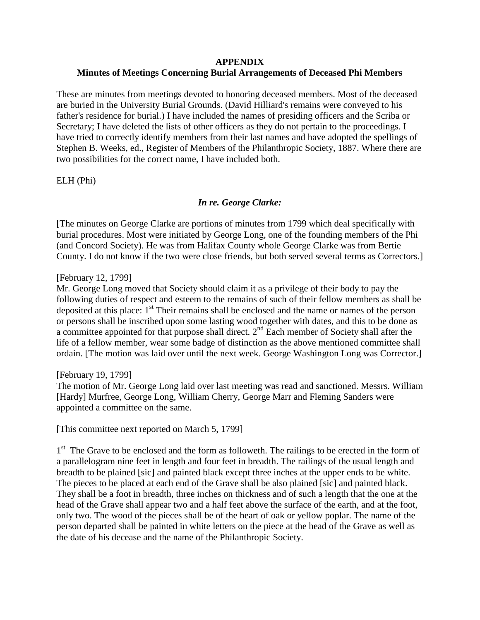#### **APPENDIX**

# **Minutes of Meetings Concerning Burial Arrangements of Deceased Phi Members**

These are minutes from meetings devoted to honoring deceased members. Most of the deceased are buried in the University Burial Grounds. (David Hilliard's remains were conveyed to his father's residence for burial.) I have included the names of presiding officers and the Scriba or Secretary; I have deleted the lists of other officers as they do not pertain to the proceedings. I have tried to correctly identify members from their last names and have adopted the spellings of Stephen B. Weeks, ed., Register of Members of the Philanthropic Society, 1887. Where there are two possibilities for the correct name, I have included both.

ELH (Phi)

### *In re. George Clarke:*

[The minutes on George Clarke are portions of minutes from 1799 which deal specifically with burial procedures. Most were initiated by George Long, one of the founding members of the Phi (and Concord Society). He was from Halifax County whole George Clarke was from Bertie County. I do not know if the two were close friends, but both served several terms as Correctors.]

[February 12, 1799]

Mr. George Long moved that Society should claim it as a privilege of their body to pay the following duties of respect and esteem to the remains of such of their fellow members as shall be deposited at this place: 1<sup>st</sup> Their remains shall be enclosed and the name or names of the person or persons shall be inscribed upon some lasting wood together with dates, and this to be done as a committee appointed for that purpose shall direct.  $2<sup>nd</sup>$  Each member of Society shall after the life of a fellow member, wear some badge of distinction as the above mentioned committee shall ordain. [The motion was laid over until the next week. George Washington Long was Corrector.]

[February 19, 1799]

The motion of Mr. George Long laid over last meeting was read and sanctioned. Messrs. William [Hardy] Murfree, George Long, William Cherry, George Marr and Fleming Sanders were appointed a committee on the same.

[This committee next reported on March 5, 1799]

1<sup>st</sup> The Grave to be enclosed and the form as followeth. The railings to be erected in the form of a parallelogram nine feet in length and four feet in breadth. The railings of the usual length and breadth to be plained [sic] and painted black except three inches at the upper ends to be white. The pieces to be placed at each end of the Grave shall be also plained [sic] and painted black. They shall be a foot in breadth, three inches on thickness and of such a length that the one at the head of the Grave shall appear two and a half feet above the surface of the earth, and at the foot, only two. The wood of the pieces shall be of the heart of oak or yellow poplar. The name of the person departed shall be painted in white letters on the piece at the head of the Grave as well as the date of his decease and the name of the Philanthropic Society.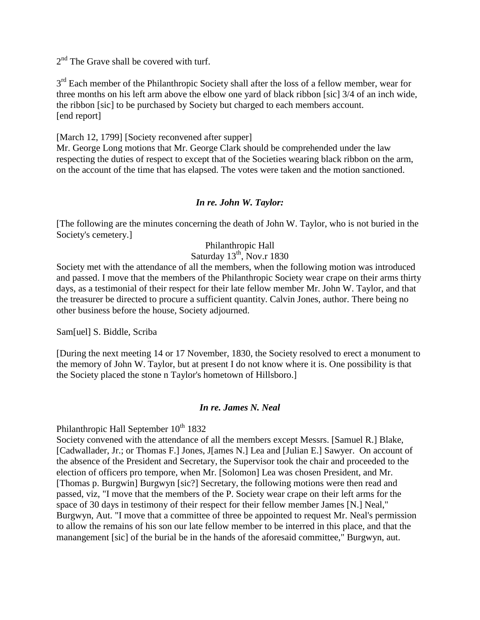$2<sup>nd</sup>$  The Grave shall be covered with turf.

3<sup>rd</sup> Each member of the Philanthropic Society shall after the loss of a fellow member, wear for three months on his left arm above the elbow one yard of black ribbon [sic] 3/4 of an inch wide, the ribbon [sic] to be purchased by Society but charged to each members account. [end report]

[March 12, 1799] [Society reconvened after supper]

Mr. George Long motions that Mr. George Clark should be comprehended under the law respecting the duties of respect to except that of the Societies wearing black ribbon on the arm, on the account of the time that has elapsed. The votes were taken and the motion sanctioned.

### *In re. John W. Taylor:*

[The following are the minutes concerning the death of John W. Taylor, who is not buried in the Society's cemetery.]

# Philanthropic Hall

# Saturday 13<sup>th</sup>, Nov.r 1830

Society met with the attendance of all the members, when the following motion was introduced and passed. I move that the members of the Philanthropic Society wear crape on their arms thirty days, as a testimonial of their respect for their late fellow member Mr. John W. Taylor, and that the treasurer be directed to procure a sufficient quantity. Calvin Jones, author. There being no other business before the house, Society adjourned.

Sam[uel] S. Biddle, Scriba

[During the next meeting 14 or 17 November, 1830, the Society resolved to erect a monument to the memory of John W. Taylor, but at present I do not know where it is. One possibility is that the Society placed the stone n Taylor's hometown of Hillsboro.]

### *In re. James N. Neal*

Philanthropic Hall September  $10^{th}$  1832

Society convened with the attendance of all the members except Messrs. [Samuel R.] Blake, [Cadwallader, Jr.; or Thomas F.] Jones, J[ames N.] Lea and [Julian E.] Sawyer. On account of the absence of the President and Secretary, the Supervisor took the chair and proceeded to the election of officers pro tempore, when Mr. [Solomon] Lea was chosen President, and Mr. [Thomas p. Burgwin] Burgwyn [sic?] Secretary, the following motions were then read and passed, viz, "I move that the members of the P. Society wear crape on their left arms for the space of 30 days in testimony of their respect for their fellow member James [N.] Neal," Burgwyn, Aut. "I move that a committee of three be appointed to request Mr. Neal's permission to allow the remains of his son our late fellow member to be interred in this place, and that the manangement [sic] of the burial be in the hands of the aforesaid committee," Burgwyn, aut.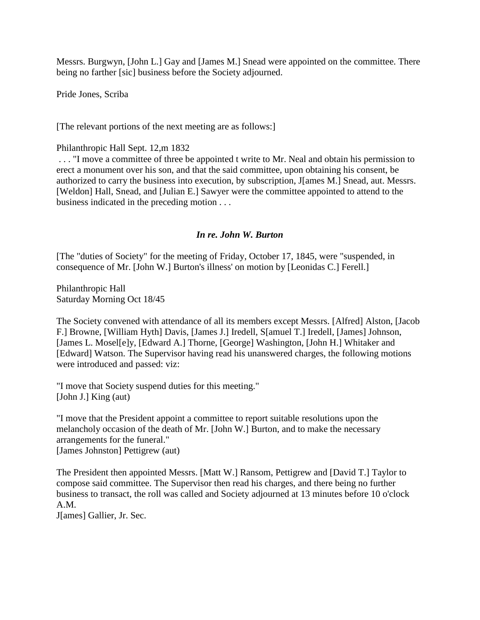Messrs. Burgwyn, [John L.] Gay and [James M.] Snead were appointed on the committee. There being no farther [sic] business before the Society adjourned.

Pride Jones, Scriba

[The relevant portions of the next meeting are as follows:]

Philanthropic Hall Sept. 12,m 1832

. . . "I move a committee of three be appointed t write to Mr. Neal and obtain his permission to erect a monument over his son, and that the said committee, upon obtaining his consent, be authorized to carry the business into execution, by subscription, J[ames M.] Snead, aut. Messrs. [Weldon] Hall, Snead, and [Julian E.] Sawyer were the committee appointed to attend to the business indicated in the preceding motion . . .

### *In re. John W. Burton*

[The "duties of Society" for the meeting of Friday, October 17, 1845, were "suspended, in consequence of Mr. [John W.] Burton's illness' on motion by [Leonidas C.] Ferell.]

Philanthropic Hall Saturday Morning Oct 18/45

The Society convened with attendance of all its members except Messrs. [Alfred] Alston, [Jacob F.] Browne, [William Hyth] Davis, [James J.] Iredell, S[amuel T.] Iredell, [James] Johnson, [James L. Mosel[e]y, [Edward A.] Thorne, [George] Washington, [John H.] Whitaker and [Edward] Watson. The Supervisor having read his unanswered charges, the following motions were introduced and passed: viz:

"I move that Society suspend duties for this meeting." [John J.] King (aut)

"I move that the President appoint a committee to report suitable resolutions upon the melancholy occasion of the death of Mr. [John W.] Burton, and to make the necessary arrangements for the funeral." [James Johnston] Pettigrew (aut)

The President then appointed Messrs. [Matt W.] Ransom, Pettigrew and [David T.] Taylor to compose said committee. The Supervisor then read his charges, and there being no further business to transact, the roll was called and Society adjourned at 13 minutes before 10 o'clock A.M.

J[ames] Gallier, Jr. Sec.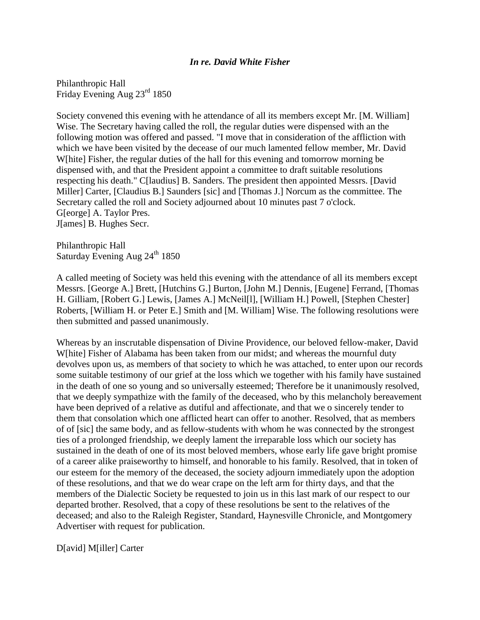#### *In re. David White Fisher*

Philanthropic Hall Friday Evening Aug 23rd 1850

Society convened this evening with he attendance of all its members except Mr. [M. William] Wise. The Secretary having called the roll, the regular duties were dispensed with an the following motion was offered and passed. "I move that in consideration of the affliction with which we have been visited by the decease of our much lamented fellow member, Mr. David W[hite] Fisher, the regular duties of the hall for this evening and tomorrow morning be dispensed with, and that the President appoint a committee to draft suitable resolutions respecting his death." C[laudius] B. Sanders. The president then appointed Messrs. [David Miller] Carter, [Claudius B.] Saunders [sic] and [Thomas J.] Norcum as the committee. The Secretary called the roll and Society adjourned about 10 minutes past 7 o'clock. G[eorge] A. Taylor Pres. J[ames] B. Hughes Secr.

Philanthropic Hall Saturday Evening Aug 24<sup>th</sup> 1850

A called meeting of Society was held this evening with the attendance of all its members except Messrs. [George A.] Brett, [Hutchins G.] Burton, [John M.] Dennis, [Eugene] Ferrand, [Thomas H. Gilliam, [Robert G.] Lewis, [James A.] McNeil[l], [William H.] Powell, [Stephen Chester] Roberts, [William H. or Peter E.] Smith and [M. William] Wise. The following resolutions were then submitted and passed unanimously.

Whereas by an inscrutable dispensation of Divine Providence, our beloved fellow-maker, David W[hite] Fisher of Alabama has been taken from our midst; and whereas the mournful duty devolves upon us, as members of that society to which he was attached, to enter upon our records some suitable testimony of our grief at the loss which we together with his family have sustained in the death of one so young and so universally esteemed; Therefore be it unanimously resolved, that we deeply sympathize with the family of the deceased, who by this melancholy bereavement have been deprived of a relative as dutiful and affectionate, and that we o sincerely tender to them that consolation which one afflicted heart can offer to another. Resolved, that as members of of [sic] the same body, and as fellow-students with whom he was connected by the strongest ties of a prolonged friendship, we deeply lament the irreparable loss which our society has sustained in the death of one of its most beloved members, whose early life gave bright promise of a career alike praiseworthy to himself, and honorable to his family. Resolved, that in token of our esteem for the memory of the deceased, the society adjourn immediately upon the adoption of these resolutions, and that we do wear crape on the left arm for thirty days, and that the members of the Dialectic Society be requested to join us in this last mark of our respect to our departed brother. Resolved, that a copy of these resolutions be sent to the relatives of the deceased; and also to the Raleigh Register, Standard, Haynesville Chronicle, and Montgomery Advertiser with request for publication.

D[avid] M[iller] Carter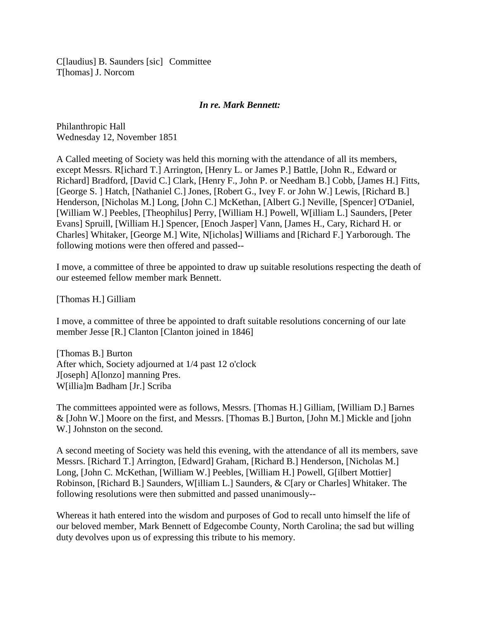C[laudius] B. Saunders [sic] Committee T[homas] J. Norcom

#### *In re. Mark Bennett:*

Philanthropic Hall Wednesday 12, November 1851

A Called meeting of Society was held this morning with the attendance of all its members, except Messrs. R[ichard T.] Arrington, [Henry L. or James P.] Battle, [John R., Edward or Richard] Bradford, [David C.] Clark, [Henry F., John P. or Needham B.] Cobb, [James H.] Fitts, [George S. ] Hatch, [Nathaniel C.] Jones, [Robert G., Ivey F. or John W.] Lewis, [Richard B.] Henderson, [Nicholas M.] Long, [John C.] McKethan, [Albert G.] Neville, [Spencer] O'Daniel, [William W.] Peebles, [Theophilus] Perry, [William H.] Powell, W[illiam L.] Saunders, [Peter Evans] Spruill, [William H.] Spencer, [Enoch Jasper] Vann, [James H., Cary, Richard H. or Charles] Whitaker, [George M.] Wite, N[icholas] Williams and [Richard F.] Yarborough. The following motions were then offered and passed--

I move, a committee of three be appointed to draw up suitable resolutions respecting the death of our esteemed fellow member mark Bennett.

[Thomas H.] Gilliam

I move, a committee of three be appointed to draft suitable resolutions concerning of our late member Jesse [R.] Clanton [Clanton joined in 1846]

[Thomas B.] Burton After which, Society adjourned at 1/4 past 12 o'clock J[oseph] A[lonzo] manning Pres. W[illia]m Badham [Jr.] Scriba

The committees appointed were as follows, Messrs. [Thomas H.] Gilliam, [William D.] Barnes & [John W.] Moore on the first, and Messrs. [Thomas B.] Burton, [John M.] Mickle and [john W.] Johnston on the second.

A second meeting of Society was held this evening, with the attendance of all its members, save Messrs. [Richard T.] Arrington, [Edward] Graham, [Richard B.] Henderson, [Nicholas M.] Long, [John C. McKethan, [William W.] Peebles, [William H.] Powell, G[ilbert Mottier] Robinson, [Richard B.] Saunders, W[illiam L.] Saunders, & C[ary or Charles] Whitaker. The following resolutions were then submitted and passed unanimously--

Whereas it hath entered into the wisdom and purposes of God to recall unto himself the life of our beloved member, Mark Bennett of Edgecombe County, North Carolina; the sad but willing duty devolves upon us of expressing this tribute to his memory.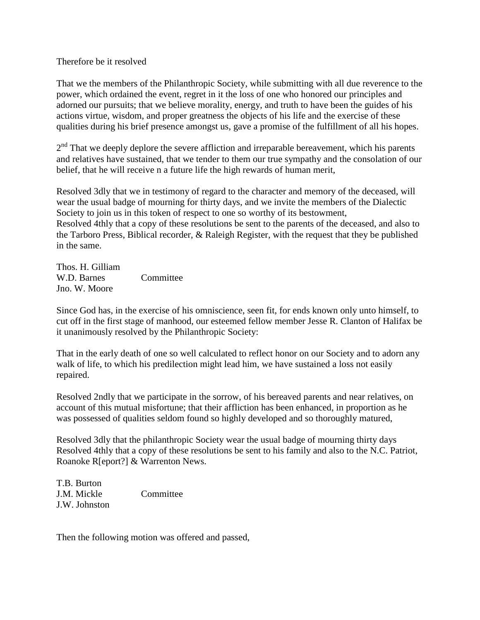#### Therefore be it resolved

That we the members of the Philanthropic Society, while submitting with all due reverence to the power, which ordained the event, regret in it the loss of one who honored our principles and adorned our pursuits; that we believe morality, energy, and truth to have been the guides of his actions virtue, wisdom, and proper greatness the objects of his life and the exercise of these qualities during his brief presence amongst us, gave a promise of the fulfillment of all his hopes.

 $2<sup>nd</sup>$  That we deeply deplore the severe affliction and irreparable bereavement, which his parents and relatives have sustained, that we tender to them our true sympathy and the consolation of our belief, that he will receive n a future life the high rewards of human merit,

Resolved 3dly that we in testimony of regard to the character and memory of the deceased, will wear the usual badge of mourning for thirty days, and we invite the members of the Dialectic Society to join us in this token of respect to one so worthy of its bestowment, Resolved 4thly that a copy of these resolutions be sent to the parents of the deceased, and also to the Tarboro Press, Biblical recorder, & Raleigh Register, with the request that they be published in the same.

Thos. H. Gilliam W.D. Barnes Committee Jno. W. Moore

Since God has, in the exercise of his omniscience, seen fit, for ends known only unto himself, to cut off in the first stage of manhood, our esteemed fellow member Jesse R. Clanton of Halifax be it unanimously resolved by the Philanthropic Society:

That in the early death of one so well calculated to reflect honor on our Society and to adorn any walk of life, to which his predilection might lead him, we have sustained a loss not easily repaired.

Resolved 2ndly that we participate in the sorrow, of his bereaved parents and near relatives, on account of this mutual misfortune; that their affliction has been enhanced, in proportion as he was possessed of qualities seldom found so highly developed and so thoroughly matured,

Resolved 3dly that the philanthropic Society wear the usual badge of mourning thirty days Resolved 4thly that a copy of these resolutions be sent to his family and also to the N.C. Patriot, Roanoke R[eport?] & Warrenton News.

T.B. Burton J.M. Mickle Committee J.W. Johnston

Then the following motion was offered and passed,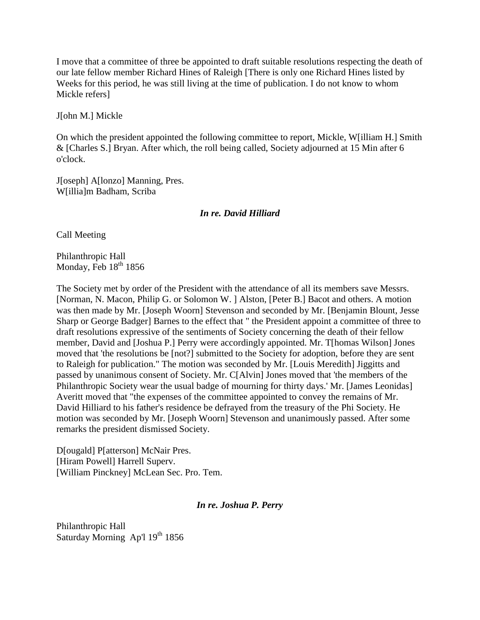I move that a committee of three be appointed to draft suitable resolutions respecting the death of our late fellow member Richard Hines of Raleigh [There is only one Richard Hines listed by Weeks for this period, he was still living at the time of publication. I do not know to whom Mickle refers]

J[ohn M.] Mickle

On which the president appointed the following committee to report, Mickle, W[illiam H.] Smith & [Charles S.] Bryan. After which, the roll being called, Society adjourned at 15 Min after 6 o'clock.

J[oseph] A[lonzo] Manning, Pres. W[illia]m Badham, Scriba

# *In re. David Hilliard*

Call Meeting

Philanthropic Hall Monday, Feb  $18<sup>th</sup> 1856$ 

The Society met by order of the President with the attendance of all its members save Messrs. [Norman, N. Macon, Philip G. or Solomon W. ] Alston, [Peter B.] Bacot and others. A motion was then made by Mr. [Joseph Woorn] Stevenson and seconded by Mr. [Benjamin Blount, Jesse Sharp or George Badger] Barnes to the effect that " the President appoint a committee of three to draft resolutions expressive of the sentiments of Society concerning the death of their fellow member, David and [Joshua P.] Perry were accordingly appointed. Mr. T[homas Wilson] Jones moved that 'the resolutions be [not?] submitted to the Society for adoption, before they are sent to Raleigh for publication." The motion was seconded by Mr. [Louis Meredith] Jiggitts and passed by unanimous consent of Society. Mr. C[Alvin] Jones moved that 'the members of the Philanthropic Society wear the usual badge of mourning for thirty days.' Mr. [James Leonidas] Averitt moved that "the expenses of the committee appointed to convey the remains of Mr. David Hilliard to his father's residence be defrayed from the treasury of the Phi Society. He motion was seconded by Mr. [Joseph Woorn] Stevenson and unanimously passed. After some remarks the president dismissed Society.

D[ougald] P[atterson] McNair Pres. [Hiram Powell] Harrell Superv. [William Pinckney] McLean Sec. Pro. Tem.

### *In re. Joshua P. Perry*

Philanthropic Hall Saturday Morning Ap'l 19<sup>th</sup> 1856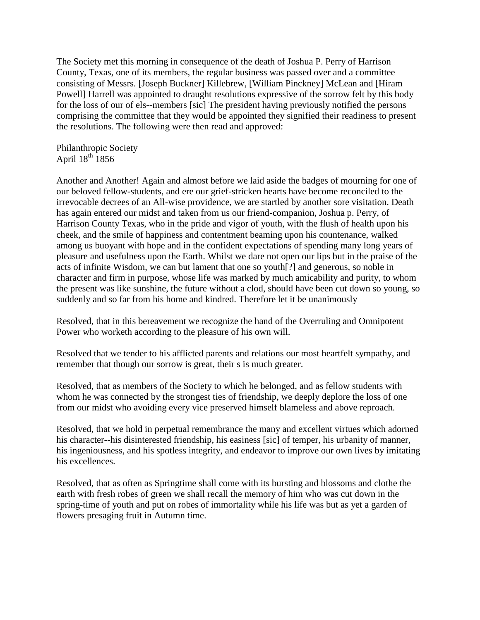The Society met this morning in consequence of the death of Joshua P. Perry of Harrison County, Texas, one of its members, the regular business was passed over and a committee consisting of Messrs. [Joseph Buckner] Killebrew, [William Pinckney] McLean and [Hiram Powell] Harrell was appointed to draught resolutions expressive of the sorrow felt by this body for the loss of our of els--members [sic] The president having previously notified the persons comprising the committee that they would be appointed they signified their readiness to present the resolutions. The following were then read and approved:

Philanthropic Society April  $18^{th}$  1856

Another and Another! Again and almost before we laid aside the badges of mourning for one of our beloved fellow-students, and ere our grief-stricken hearts have become reconciled to the irrevocable decrees of an All-wise providence, we are startled by another sore visitation. Death has again entered our midst and taken from us our friend-companion, Joshua p. Perry, of Harrison County Texas, who in the pride and vigor of youth, with the flush of health upon his cheek, and the smile of happiness and contentment beaming upon his countenance, walked among us buoyant with hope and in the confident expectations of spending many long years of pleasure and usefulness upon the Earth. Whilst we dare not open our lips but in the praise of the acts of infinite Wisdom, we can but lament that one so youth[?] and generous, so noble in character and firm in purpose, whose life was marked by much amicability and purity, to whom the present was like sunshine, the future without a clod, should have been cut down so young, so suddenly and so far from his home and kindred. Therefore let it be unanimously

Resolved, that in this bereavement we recognize the hand of the Overruling and Omnipotent Power who worketh according to the pleasure of his own will.

Resolved that we tender to his afflicted parents and relations our most heartfelt sympathy, and remember that though our sorrow is great, their s is much greater.

Resolved, that as members of the Society to which he belonged, and as fellow students with whom he was connected by the strongest ties of friendship, we deeply deplore the loss of one from our midst who avoiding every vice preserved himself blameless and above reproach.

Resolved, that we hold in perpetual remembrance the many and excellent virtues which adorned his character--his disinterested friendship, his easiness [sic] of temper, his urbanity of manner, his ingeniousness, and his spotless integrity, and endeavor to improve our own lives by imitating his excellences.

Resolved, that as often as Springtime shall come with its bursting and blossoms and clothe the earth with fresh robes of green we shall recall the memory of him who was cut down in the spring-time of youth and put on robes of immortality while his life was but as yet a garden of flowers presaging fruit in Autumn time.